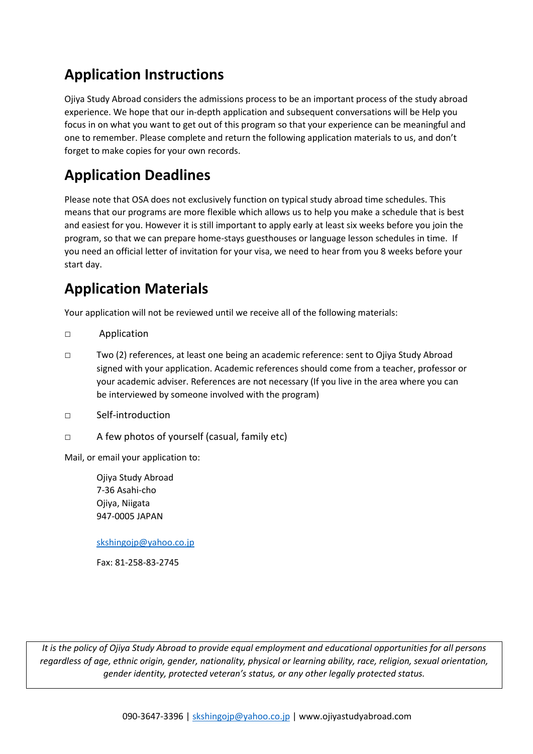# **Application Instructions**

Ojiya Study Abroad considers the admissions process to be an important process of the study abroad experience. We hope that our in-depth application and subsequent conversations will be Help you focus in on what you want to get out of this program so that your experience can be meaningful and one to remember. Please complete and return the following application materials to us, and don't forget to make copies for your own records.

# **Application Deadlines**

Please note that OSA does not exclusively function on typical study abroad time schedules. This means that our programs are more flexible which allows us to help you make a schedule that is best and easiest for you. However it is still important to apply early at least six weeks before you join the program, so that we can prepare home-stays guesthouses or language lesson schedules in time. If you need an official letter of invitation for your visa, we need to hear from you 8 weeks before your start day.

# **Application Materials**

Your application will not be reviewed until we receive all of the following materials:

- □ Application
- □ Two (2) references, at least one being an academic reference: sent to Ojiya Study Abroad signed with your application. Academic references should come from a teacher, professor or your academic adviser. References are not necessary (If you live in the area where you can be interviewed by someone involved with the program)
- □ Self-introduction
- □ A few photos of yourself (casual, family etc)

Mail, or email your application to:

Ojiya Study Abroad 7-36 Asahi-cho Ojiya, Niigata 947-0005 JAPAN

[skshingojp@yahoo.co.jp](mailto:skshingojp@yahoo.co.jp)

Fax: 81-258-83-2745

*It is the policy of Ojiya Study Abroad to provide equal employment and educational opportunities for all persons regardless of age, ethnic origin, gender, nationality, physical or learning ability, race, religion, sexual orientation, gender identity, protected veteran's status, or any other legally protected status.*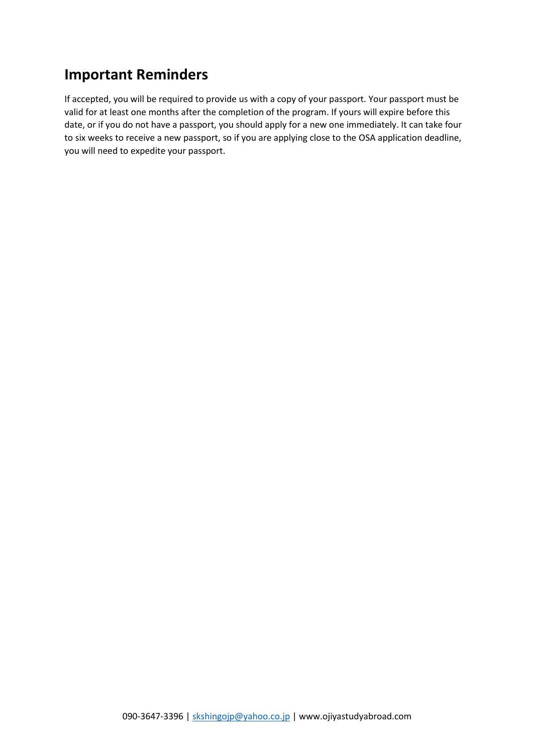### **Important Reminders**

If accepted, you will be required to provide us with a copy of your passport. Your passport must be valid for at least one months after the completion of the program. If yours will expire before this date, or if you do not have a passport, you should apply for a new one immediately. It can take four to six weeks to receive a new passport, so if you are applying close to the OSA application deadline, you will need to expedite your passport.